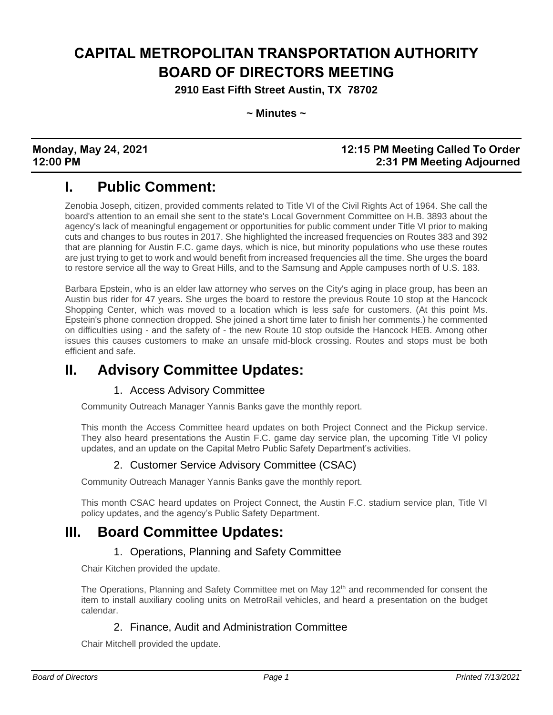# **CAPITAL METROPOLITAN TRANSPORTATION AUTHORITY BOARD OF DIRECTORS MEETING**

**2910 East Fifth Street Austin, TX 78702**

**~ Minutes ~**

### **Monday, May 24, 2021 12:15 PM Meeting Called To Order 12:00 PM 2:31 PM Meeting Adjourned**

# **I. Public Comment:**

Zenobia Joseph, citizen, provided comments related to Title VI of the Civil Rights Act of 1964. She call the board's attention to an email she sent to the state's Local Government Committee on H.B. 3893 about the agency's lack of meaningful engagement or opportunities for public comment under Title VI prior to making cuts and changes to bus routes in 2017. She highlighted the increased frequencies on Routes 383 and 392 that are planning for Austin F.C. game days, which is nice, but minority populations who use these routes are just trying to get to work and would benefit from increased frequencies all the time. She urges the board to restore service all the way to Great Hills, and to the Samsung and Apple campuses north of U.S. 183.

Barbara Epstein, who is an elder law attorney who serves on the City's aging in place group, has been an Austin bus rider for 47 years. She urges the board to restore the previous Route 10 stop at the Hancock Shopping Center, which was moved to a location which is less safe for customers. (At this point Ms. Epstein's phone connection dropped. She joined a short time later to finish her comments.) he commented on difficulties using - and the safety of - the new Route 10 stop outside the Hancock HEB. Among other issues this causes customers to make an unsafe mid-block crossing. Routes and stops must be both efficient and safe.

# **II. Advisory Committee Updates:**

### 1. Access Advisory Committee

Community Outreach Manager Yannis Banks gave the monthly report.

This month the Access Committee heard updates on both Project Connect and the Pickup service. They also heard presentations the Austin F.C. game day service plan, the upcoming Title VI policy updates, and an update on the Capital Metro Public Safety Department's activities.

### 2. Customer Service Advisory Committee (CSAC)

Community Outreach Manager Yannis Banks gave the monthly report.

This month CSAC heard updates on Project Connect, the Austin F.C. stadium service plan, Title VI policy updates, and the agency's Public Safety Department.

### **III. Board Committee Updates:**

### 1. Operations, Planning and Safety Committee

Chair Kitchen provided the update.

The Operations, Planning and Safety Committee met on May 12<sup>th</sup> and recommended for consent the item to install auxiliary cooling units on MetroRail vehicles, and heard a presentation on the budget calendar.

### 2. Finance, Audit and Administration Committee

Chair Mitchell provided the update.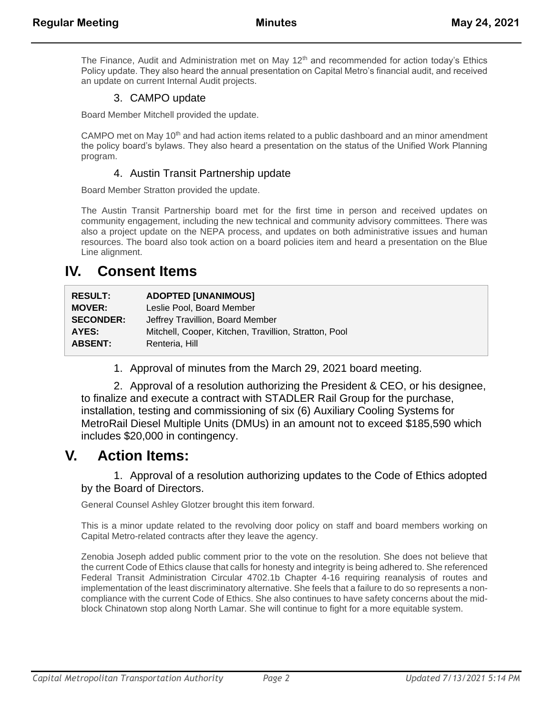The Finance, Audit and Administration met on May 12<sup>th</sup> and recommended for action today's Ethics Policy update. They also heard the annual presentation on Capital Metro's financial audit, and received an update on current Internal Audit projects.

### 3. CAMPO update

Board Member Mitchell provided the update.

CAMPO met on May 10<sup>th</sup> and had action items related to a public dashboard and an minor amendment the policy board's bylaws. They also heard a presentation on the status of the Unified Work Planning program.

#### 4. Austin Transit Partnership update

Board Member Stratton provided the update.

The Austin Transit Partnership board met for the first time in person and received updates on community engagement, including the new technical and community advisory committees. There was also a project update on the NEPA process, and updates on both administrative issues and human resources. The board also took action on a board policies item and heard a presentation on the Blue Line alignment.

### **IV. Consent Items**

| <b>RESULT:</b>   | <b>ADOPTED [UNANIMOUS]</b>                            |
|------------------|-------------------------------------------------------|
| <b>MOVER:</b>    | Leslie Pool. Board Member                             |
| <b>SECONDER:</b> | Jeffrey Travillion, Board Member                      |
| AYES:            | Mitchell, Cooper, Kitchen, Travillion, Stratton, Pool |
| <b>ABSENT:</b>   | Renteria, Hill                                        |
|                  |                                                       |

1. Approval of minutes from the March 29, 2021 board meeting.

2. Approval of a resolution authorizing the President & CEO, or his designee, to finalize and execute a contract with STADLER Rail Group for the purchase, installation, testing and commissioning of six (6) Auxiliary Cooling Systems for MetroRail Diesel Multiple Units (DMUs) in an amount not to exceed \$185,590 which includes \$20,000 in contingency.

### **V. Action Items:**

#### 1. Approval of a resolution authorizing updates to the Code of Ethics adopted by the Board of Directors.

General Counsel Ashley Glotzer brought this item forward.

This is a minor update related to the revolving door policy on staff and board members working on Capital Metro-related contracts after they leave the agency.

Zenobia Joseph added public comment prior to the vote on the resolution. She does not believe that the current Code of Ethics clause that calls for honesty and integrity is being adhered to. She referenced Federal Transit Administration Circular 4702.1b Chapter 4-16 requiring reanalysis of routes and implementation of the least discriminatory alternative. She feels that a failure to do so represents a noncompliance with the current Code of Ethics. She also continues to have safety concerns about the midblock Chinatown stop along North Lamar. She will continue to fight for a more equitable system.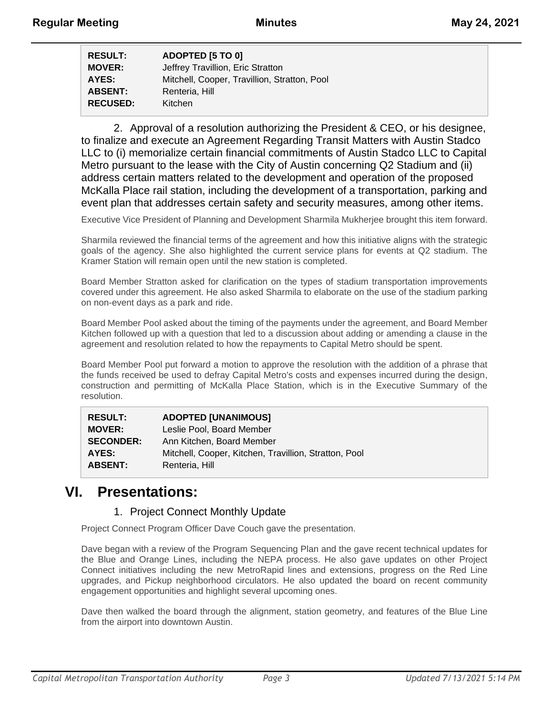| <b>RESULT:</b>  | ADOPTED [5 TO 0]                             |
|-----------------|----------------------------------------------|
| <b>MOVER:</b>   | Jeffrey Travillion, Eric Stratton            |
| AYES:           | Mitchell, Cooper, Travillion, Stratton, Pool |
| <b>ABSENT:</b>  | Renteria, Hill                               |
| <b>RECUSED:</b> | Kitchen                                      |
|                 |                                              |

2. Approval of a resolution authorizing the President & CEO, or his designee, to finalize and execute an Agreement Regarding Transit Matters with Austin Stadco LLC to (i) memorialize certain financial commitments of Austin Stadco LLC to Capital Metro pursuant to the lease with the City of Austin concerning Q2 Stadium and (ii) address certain matters related to the development and operation of the proposed McKalla Place rail station, including the development of a transportation, parking and event plan that addresses certain safety and security measures, among other items.

Executive Vice President of Planning and Development Sharmila Mukherjee brought this item forward.

Sharmila reviewed the financial terms of the agreement and how this initiative aligns with the strategic goals of the agency. She also highlighted the current service plans for events at Q2 stadium. The Kramer Station will remain open until the new station is completed.

Board Member Stratton asked for clarification on the types of stadium transportation improvements covered under this agreement. He also asked Sharmila to elaborate on the use of the stadium parking on non-event days as a park and ride.

Board Member Pool asked about the timing of the payments under the agreement, and Board Member Kitchen followed up with a question that led to a discussion about adding or amending a clause in the agreement and resolution related to how the repayments to Capital Metro should be spent.

Board Member Pool put forward a motion to approve the resolution with the addition of a phrase that the funds received be used to defray Capital Metro's costs and expenses incurred during the design, construction and permitting of McKalla Place Station, which is in the Executive Summary of the resolution.

| <b>RESULT:</b>   | <b>ADOPTED [UNANIMOUS]</b>                            |
|------------------|-------------------------------------------------------|
| <b>MOVER:</b>    | Leslie Pool, Board Member                             |
| <b>SECONDER:</b> | Ann Kitchen, Board Member                             |
| AYES:            | Mitchell, Cooper, Kitchen, Travillion, Stratton, Pool |
| <b>ABSENT:</b>   | Renteria, Hill                                        |

### **VI. Presentations:**

#### 1. Project Connect Monthly Update

Project Connect Program Officer Dave Couch gave the presentation.

Dave began with a review of the Program Sequencing Plan and the gave recent technical updates for the Blue and Orange Lines, including the NEPA process. He also gave updates on other Project Connect initiatives including the new MetroRapid lines and extensions, progress on the Red Line upgrades, and Pickup neighborhood circulators. He also updated the board on recent community engagement opportunities and highlight several upcoming ones.

Dave then walked the board through the alignment, station geometry, and features of the Blue Line from the airport into downtown Austin.